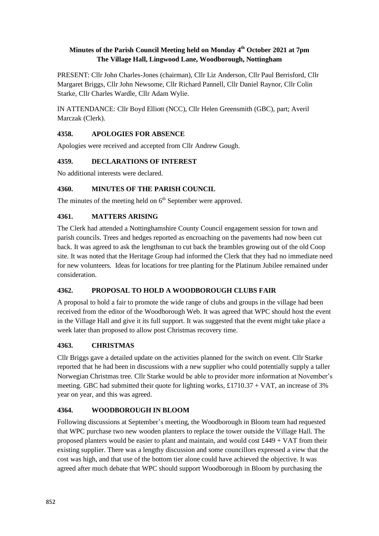### **Minutes of the Parish Council Meeting held on Monday 4 th October 2021 at 7pm The Village Hall, Lingwood Lane, Woodborough, Nottingham**

PRESENT: Cllr John Charles-Jones (chairman), Cllr Liz Anderson, Cllr Paul Berrisford, Cllr Margaret Briggs, Cllr John Newsome, Cllr Richard Pannell, Cllr Daniel Raynor, Cllr Colin Starke, Cllr Charles Wardle, Cllr Adam Wylie.

IN ATTENDANCE: Cllr Boyd Elliott (NCC), Cllr Helen Greensmith (GBC), part; Averil Marczak (Clerk).

## **4358. APOLOGIES FOR ABSENCE**

Apologies were received and accepted from Cllr Andrew Gough.

### **4359. DECLARATIONS OF INTEREST**

No additional interests were declared.

### **4360. MINUTES OF THE PARISH COUNCIL**

The minutes of the meeting held on 6<sup>th</sup> September were approved.

### **4361. MATTERS ARISING**

The Clerk had attended a Nottinghamshire County Council engagement session for town and parish councils. Trees and hedges reported as encroaching on the pavements had now been cut back. It was agreed to ask the lengthsman to cut back the brambles growing out of the old Coop site. It was noted that the Heritage Group had informed the Clerk that they had no immediate need for new volunteers*.* Ideas for locations for tree planting for the Platinum Jubilee remained under consideration.

## **4362. PROPOSAL TO HOLD A WOODBOROUGH CLUBS FAIR**

A proposal to hold a fair to promote the wide range of clubs and groups in the village had been received from the editor of the Woodborough Web. It was agreed that WPC should host the event in the Village Hall and give it its full support. It was suggested that the event might take place a week later than proposed to allow post Christmas recovery time.

#### **4363. CHRISTMAS**

Cllr Briggs gave a detailed update on the activities planned for the switch on event. Cllr Starke reported that he had been in discussions with a new supplier who could potentially supply a taller Norwegian Christmas tree. Cllr Starke would be able to provider more information at November's meeting. GBC had submitted their quote for lighting works, £1710.37 + VAT, an increase of 3% year on year, and this was agreed.

#### **4364. WOODBOROUGH IN BLOOM**

Following discussions at September's meeting, the Woodborough in Bloom team had requested that WPC purchase two new wooden planters to replace the tower outside the Village Hall. The proposed planters would be easier to plant and maintain, and would cost £449 + VAT from their existing supplier. There was a lengthy discussion and some councillors expressed a view that the cost was high, and that use of the bottom tier alone could have achieved the objective. It was agreed after much debate that WPC should support Woodborough in Bloom by purchasing the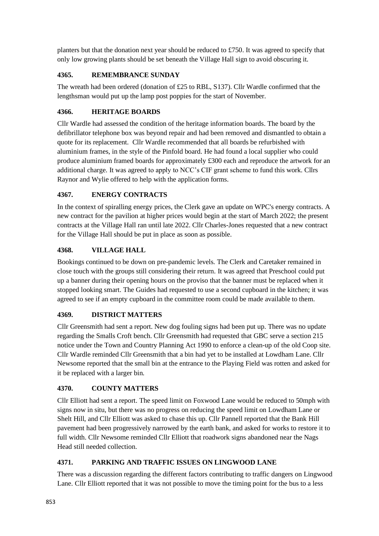planters but that the donation next year should be reduced to £750. It was agreed to specify that only low growing plants should be set beneath the Village Hall sign to avoid obscuring it.

## **4365. REMEMBRANCE SUNDAY**

The wreath had been ordered (donation of £25 to RBL, S137). Cllr Wardle confirmed that the lengthsman would put up the lamp post poppies for the start of November.

## **4366. HERITAGE BOARDS**

Cllr Wardle had assessed the condition of the heritage information boards. The board by the defibrillator telephone box was beyond repair and had been removed and dismantled to obtain a quote for its replacement. Cllr Wardle recommended that all boards be refurbished with aluminium frames, in the style of the Pinfold board. He had found a local supplier who could produce aluminium framed boards for approximately £300 each and reproduce the artwork for an additional charge. It was agreed to apply to NCC's CIF grant scheme to fund this work. Cllrs Raynor and Wylie offered to help with the application forms.

### **4367. ENERGY CONTRACTS**

In the context of spiralling energy prices, the Clerk gave an update on WPC's energy contracts. A new contract for the pavilion at higher prices would begin at the start of March 2022; the present contracts at the Village Hall ran until late 2022. Cllr Charles-Jones requested that a new contract for the Village Hall should be put in place as soon as possible.

### **4368. VILLAGE HALL**

Bookings continued to be down on pre-pandemic levels. The Clerk and Caretaker remained in close touch with the groups still considering their return. It was agreed that Preschool could put up a banner during their opening hours on the proviso that the banner must be replaced when it stopped looking smart. The Guides had requested to use a second cupboard in the kitchen; it was agreed to see if an empty cupboard in the committee room could be made available to them.

#### **4369. DISTRICT MATTERS**

Cllr Greensmith had sent a report. New dog fouling signs had been put up. There was no update regarding the Smalls Croft bench. Cllr Greensmith had requested that GBC serve a section 215 notice under the Town and Country Planning Act 1990 to enforce a clean-up of the old Coop site. Cllr Wardle reminded Cllr Greensmith that a bin had yet to be installed at Lowdham Lane. Cllr Newsome reported that the small bin at the entrance to the Playing Field was rotten and asked for it be replaced with a larger bin.

#### **4370. COUNTY MATTERS**

Cllr Elliott had sent a report. The speed limit on Foxwood Lane would be reduced to 50mph with signs now in situ, but there was no progress on reducing the speed limit on Lowdham Lane or Shelt Hill, and Cllr Elliott was asked to chase this up. Cllr Pannell reported that the Bank Hill pavement had been progressively narrowed by the earth bank, and asked for works to restore it to full width. Cllr Newsome reminded Cllr Elliott that roadwork signs abandoned near the Nags Head still needed collection.

#### **4371. PARKING AND TRAFFIC ISSUES ON LINGWOOD LANE**

There was a discussion regarding the different factors contributing to traffic dangers on Lingwood Lane. Cllr Elliott reported that it was not possible to move the timing point for the bus to a less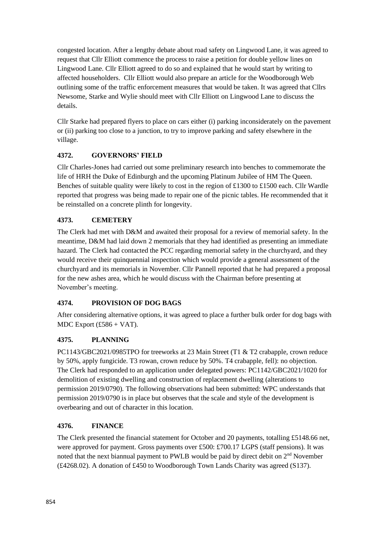congested location. After a lengthy debate about road safety on Lingwood Lane, it was agreed to request that Cllr Elliott commence the process to raise a petition for double yellow lines on Lingwood Lane. Cllr Elliott agreed to do so and explained that he would start by writing to affected householders. Cllr Elliott would also prepare an article for the Woodborough Web outlining some of the traffic enforcement measures that would be taken. It was agreed that Cllrs Newsome, Starke and Wylie should meet with Cllr Elliott on Lingwood Lane to discuss the details.

Cllr Starke had prepared flyers to place on cars either (i) parking inconsiderately on the pavement or (ii) parking too close to a junction, to try to improve parking and safety elsewhere in the village.

## **4372. GOVERNORS' FIELD**

Cllr Charles-Jones had carried out some preliminary research into benches to commemorate the life of HRH the Duke of Edinburgh and the upcoming Platinum Jubilee of HM The Queen. Benches of suitable quality were likely to cost in the region of £1300 to £1500 each. Cllr Wardle reported that progress was being made to repair one of the picnic tables. He recommended that it be reinstalled on a concrete plinth for longevity.

## **4373. CEMETERY**

The Clerk had met with D&M and awaited their proposal for a review of memorial safety. In the meantime, D&M had laid down 2 memorials that they had identified as presenting an immediate hazard. The Clerk had contacted the PCC regarding memorial safety in the churchyard, and they would receive their quinquennial inspection which would provide a general assessment of the churchyard and its memorials in November. Cllr Pannell reported that he had prepared a proposal for the new ashes area, which he would discuss with the Chairman before presenting at November's meeting.

## **4374. PROVISION OF DOG BAGS**

After considering alternative options, it was agreed to place a further bulk order for dog bags with MDC Export  $(f586 + VAT)$ .

# **4375. PLANNING**

PC1143/GBC2021/0985TPO for treeworks at 23 Main Street (T1 & T2 crabapple, crown reduce by 50%, apply fungicide. T3 rowan, crown reduce by 50%. T4 crabapple, fell): no objection. The Clerk had responded to an application under delegated powers: PC1142/GBC2021/1020 for demolition of existing dwelling and construction of replacement dwelling (alterations to permission 2019/0790). The following observations had been submitted: WPC understands that permission 2019/0790 is in place but observes that the scale and style of the development is overbearing and out of character in this location.

## **4376. FINANCE**

The Clerk presented the financial statement for October and 20 payments, totalling £5148.66 net, were approved for payment. Gross payments over £500: £700.17 LGPS (staff pensions). It was noted that the next biannual payment to PWLB would be paid by direct debit on  $2<sup>nd</sup>$  November (£4268.02). A donation of £450 to Woodborough Town Lands Charity was agreed (S137).